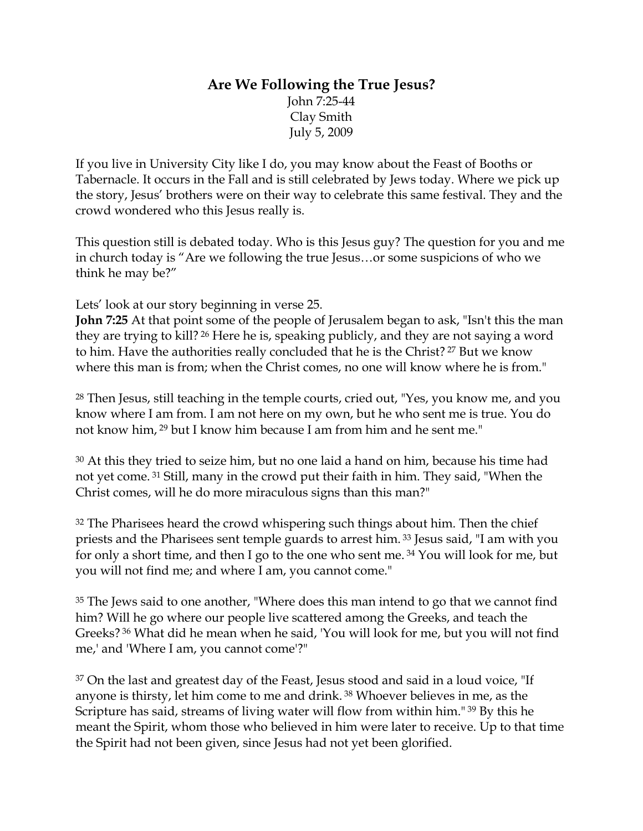### **Are We Following the True Jesus?**  John 7:25-44 Clay Smith July 5, 2009

If you live in University City like I do, you may know about the Feast of Booths or Tabernacle. It occurs in the Fall and is still celebrated by Jews today. Where we pick up the story, Jesus' brothers were on their way to celebrate this same festival. They and the crowd wondered who this Jesus really is.

This question still is debated today. Who is this Jesus guy? The question for you and me in church today is "Are we following the true Jesus…or some suspicions of who we think he may be?"

Lets' look at our story beginning in verse 25.

**John 7:25** At that point some of the people of Jerusalem began to ask, "Isn't this the man they are trying to kill? 26 Here he is, speaking publicly, and they are not saying a word to him. Have the authorities really concluded that he is the Christ? 27 But we know where this man is from; when the Christ comes, no one will know where he is from."

<sup>28</sup> Then Jesus, still teaching in the temple courts, cried out, "Yes, you know me, and you know where I am from. I am not here on my own, but he who sent me is true. You do not know him, 29 but I know him because I am from him and he sent me."

<sup>30</sup> At this they tried to seize him, but no one laid a hand on him, because his time had not yet come. 31 Still, many in the crowd put their faith in him. They said, "When the Christ comes, will he do more miraculous signs than this man?"

<sup>32</sup> The Pharisees heard the crowd whispering such things about him. Then the chief priests and the Pharisees sent temple guards to arrest him. 33 Jesus said, "I am with you for only a short time, and then I go to the one who sent me. 34 You will look for me, but you will not find me; and where I am, you cannot come."

<sup>35</sup> The Jews said to one another, "Where does this man intend to go that we cannot find him? Will he go where our people live scattered among the Greeks, and teach the Greeks? 36 What did he mean when he said, 'You will look for me, but you will not find me,' and 'Where I am, you cannot come'?"

37 On the last and greatest day of the Feast, Jesus stood and said in a loud voice, "If anyone is thirsty, let him come to me and drink. 38 Whoever believes in me, as the Scripture has said, streams of living water will flow from within him." 39 By this he meant the Spirit, whom those who believed in him were later to receive. Up to that time the Spirit had not been given, since Jesus had not yet been glorified.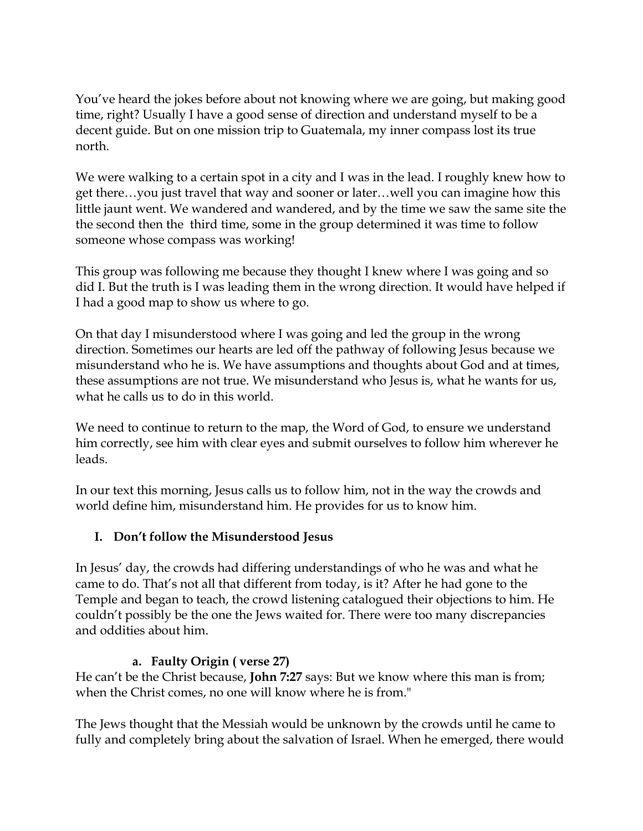You've heard the jokes before about not knowing where we are going, but making good time, right? Usually I have a good sense of direction and understand myself to be a decent guide. But on one mission trip to Guatemala, my inner compass lost its true north.

We were walking to a certain spot in a city and I was in the lead. I roughly knew how to get there…you just travel that way and sooner or later…well you can imagine how this little jaunt went. We wandered and wandered, and by the time we saw the same site the the second then the third time, some in the group determined it was time to follow someone whose compass was working!

This group was following me because they thought I knew where I was going and so did I. But the truth is I was leading them in the wrong direction. It would have helped if I had a good map to show us where to go.

On that day I misunderstood where I was going and led the group in the wrong direction. Sometimes our hearts are led off the pathway of following Jesus because we misunderstand who he is. We have assumptions and thoughts about God and at times, these assumptions are not true. We misunderstand who Jesus is, what he wants for us, what he calls us to do in this world.

We need to continue to return to the map, the Word of God, to ensure we understand him correctly, see him with clear eyes and submit ourselves to follow him wherever he leads.

In our text this morning, Jesus calls us to follow him, not in the way the crowds and world define him, misunderstand him. He provides for us to know him.

#### **I. Don't follow the Misunderstood Jesus**

In Jesus' day, the crowds had differing understandings of who he was and what he came to do. That's not all that different from today, is it? After he had gone to the Temple and began to teach, the crowd listening catalogued their objections to him. He couldn't possibly be the one the Jews waited for. There were too many discrepancies and oddities about him.

#### **a. Faulty Origin ( verse 27)**

He can't be the Christ because, **John 7:27** says: But we know where this man is from; when the Christ comes, no one will know where he is from."

The Jews thought that the Messiah would be unknown by the crowds until he came to fully and completely bring about the salvation of Israel. When he emerged, there would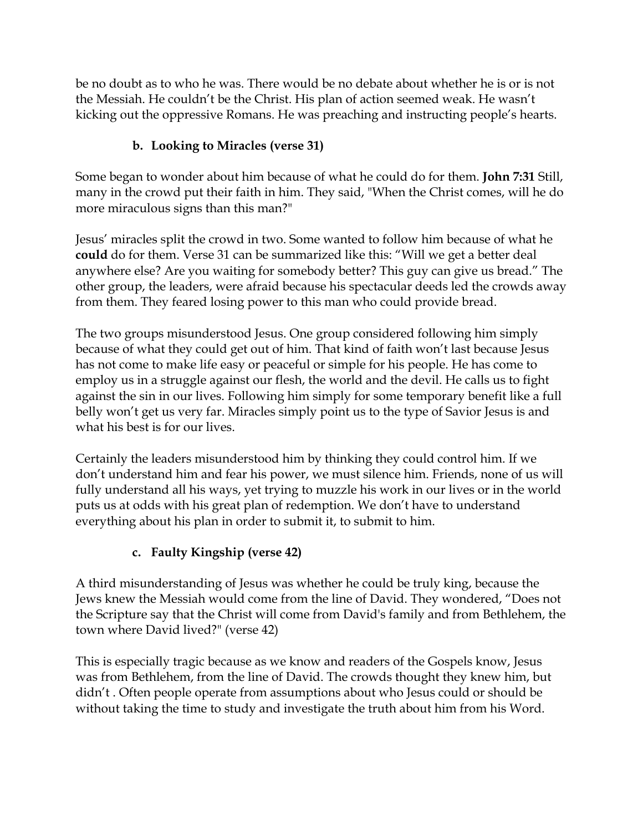be no doubt as to who he was. There would be no debate about whether he is or is not the Messiah. He couldn't be the Christ. His plan of action seemed weak. He wasn't kicking out the oppressive Romans. He was preaching and instructing people's hearts.

# **b. Looking to Miracles (verse 31)**

Some began to wonder about him because of what he could do for them. **John 7:31** Still, many in the crowd put their faith in him. They said, "When the Christ comes, will he do more miraculous signs than this man?"

Jesus' miracles split the crowd in two. Some wanted to follow him because of what he **could** do for them. Verse 31 can be summarized like this: "Will we get a better deal anywhere else? Are you waiting for somebody better? This guy can give us bread." The other group, the leaders, were afraid because his spectacular deeds led the crowds away from them. They feared losing power to this man who could provide bread.

The two groups misunderstood Jesus. One group considered following him simply because of what they could get out of him. That kind of faith won't last because Jesus has not come to make life easy or peaceful or simple for his people. He has come to employ us in a struggle against our flesh, the world and the devil. He calls us to fight against the sin in our lives. Following him simply for some temporary benefit like a full belly won't get us very far. Miracles simply point us to the type of Savior Jesus is and what his best is for our lives.

Certainly the leaders misunderstood him by thinking they could control him. If we don't understand him and fear his power, we must silence him. Friends, none of us will fully understand all his ways, yet trying to muzzle his work in our lives or in the world puts us at odds with his great plan of redemption. We don't have to understand everything about his plan in order to submit it, to submit to him.

#### **c. Faulty Kingship (verse 42)**

A third misunderstanding of Jesus was whether he could be truly king, because the Jews knew the Messiah would come from the line of David. They wondered, "Does not the Scripture say that the Christ will come from David's family and from Bethlehem, the town where David lived?" (verse 42)

This is especially tragic because as we know and readers of the Gospels know, Jesus was from Bethlehem, from the line of David. The crowds thought they knew him, but didn't . Often people operate from assumptions about who Jesus could or should be without taking the time to study and investigate the truth about him from his Word.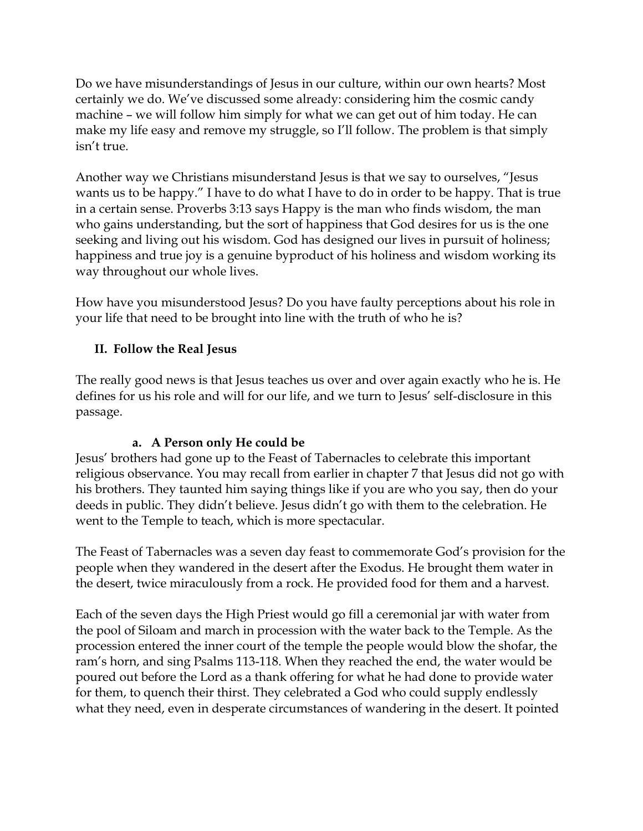Do we have misunderstandings of Jesus in our culture, within our own hearts? Most certainly we do. We've discussed some already: considering him the cosmic candy machine – we will follow him simply for what we can get out of him today. He can make my life easy and remove my struggle, so I'll follow. The problem is that simply isn't true.

Another way we Christians misunderstand Jesus is that we say to ourselves, "Jesus wants us to be happy." I have to do what I have to do in order to be happy. That is true in a certain sense. Proverbs 3:13 says Happy is the man who finds wisdom, the man who gains understanding, but the sort of happiness that God desires for us is the one seeking and living out his wisdom. God has designed our lives in pursuit of holiness; happiness and true joy is a genuine byproduct of his holiness and wisdom working its way throughout our whole lives.

How have you misunderstood Jesus? Do you have faulty perceptions about his role in your life that need to be brought into line with the truth of who he is?

### **II. Follow the Real Jesus**

The really good news is that Jesus teaches us over and over again exactly who he is. He defines for us his role and will for our life, and we turn to Jesus' self-disclosure in this passage.

#### **a. A Person only He could be**

Jesus' brothers had gone up to the Feast of Tabernacles to celebrate this important religious observance. You may recall from earlier in chapter 7 that Jesus did not go with his brothers. They taunted him saying things like if you are who you say, then do your deeds in public. They didn't believe. Jesus didn't go with them to the celebration. He went to the Temple to teach, which is more spectacular.

The Feast of Tabernacles was a seven day feast to commemorate God's provision for the people when they wandered in the desert after the Exodus. He brought them water in the desert, twice miraculously from a rock. He provided food for them and a harvest.

Each of the seven days the High Priest would go fill a ceremonial jar with water from the pool of Siloam and march in procession with the water back to the Temple. As the procession entered the inner court of the temple the people would blow the shofar, the ram's horn, and sing Psalms 113-118. When they reached the end, the water would be poured out before the Lord as a thank offering for what he had done to provide water for them, to quench their thirst. They celebrated a God who could supply endlessly what they need, even in desperate circumstances of wandering in the desert. It pointed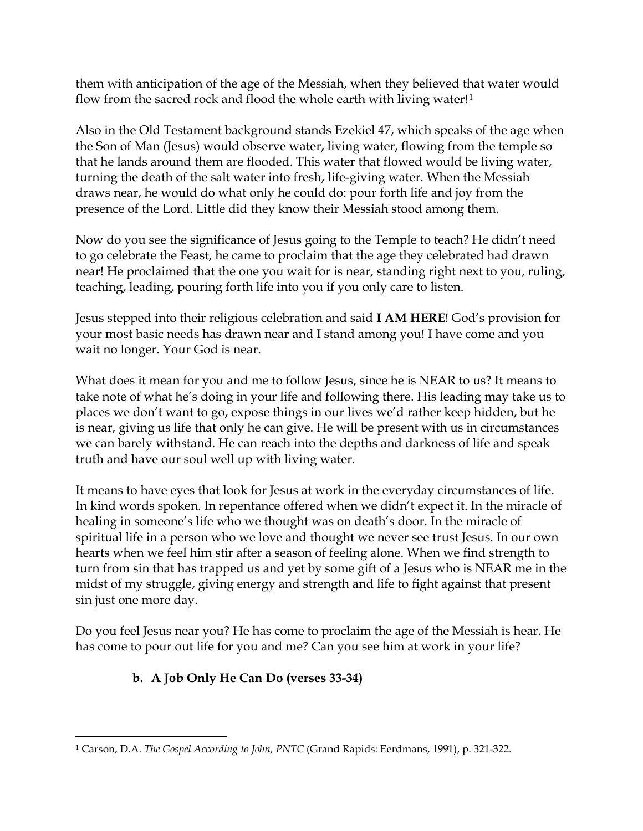them with anticipation of the age of the Messiah, when they believed that water would flow from the sacred rock and flood the whole earth with living water!<sup>[1](#page-4-0)</sup>

Also in the Old Testament background stands Ezekiel 47, which speaks of the age when the Son of Man (Jesus) would observe water, living water, flowing from the temple so that he lands around them are flooded. This water that flowed would be living water, turning the death of the salt water into fresh, life-giving water. When the Messiah draws near, he would do what only he could do: pour forth life and joy from the presence of the Lord. Little did they know their Messiah stood among them.

Now do you see the significance of Jesus going to the Temple to teach? He didn't need to go celebrate the Feast, he came to proclaim that the age they celebrated had drawn near! He proclaimed that the one you wait for is near, standing right next to you, ruling, teaching, leading, pouring forth life into you if you only care to listen.

Jesus stepped into their religious celebration and said **I AM HERE**! God's provision for your most basic needs has drawn near and I stand among you! I have come and you wait no longer. Your God is near.

What does it mean for you and me to follow Jesus, since he is NEAR to us? It means to take note of what he's doing in your life and following there. His leading may take us to places we don't want to go, expose things in our lives we'd rather keep hidden, but he is near, giving us life that only he can give. He will be present with us in circumstances we can barely withstand. He can reach into the depths and darkness of life and speak truth and have our soul well up with living water.

It means to have eyes that look for Jesus at work in the everyday circumstances of life. In kind words spoken. In repentance offered when we didn't expect it. In the miracle of healing in someone's life who we thought was on death's door. In the miracle of spiritual life in a person who we love and thought we never see trust Jesus. In our own hearts when we feel him stir after a season of feeling alone. When we find strength to turn from sin that has trapped us and yet by some gift of a Jesus who is NEAR me in the midst of my struggle, giving energy and strength and life to fight against that present sin just one more day.

Do you feel Jesus near you? He has come to proclaim the age of the Messiah is hear. He has come to pour out life for you and me? Can you see him at work in your life?

# **b. A Job Only He Can Do (verses 33-34)**

<span id="page-4-0"></span> $\overline{a}$ 1 Carson, D.A. *The Gospel According to John, PNTC* (Grand Rapids: Eerdmans, 1991), p. 321-322.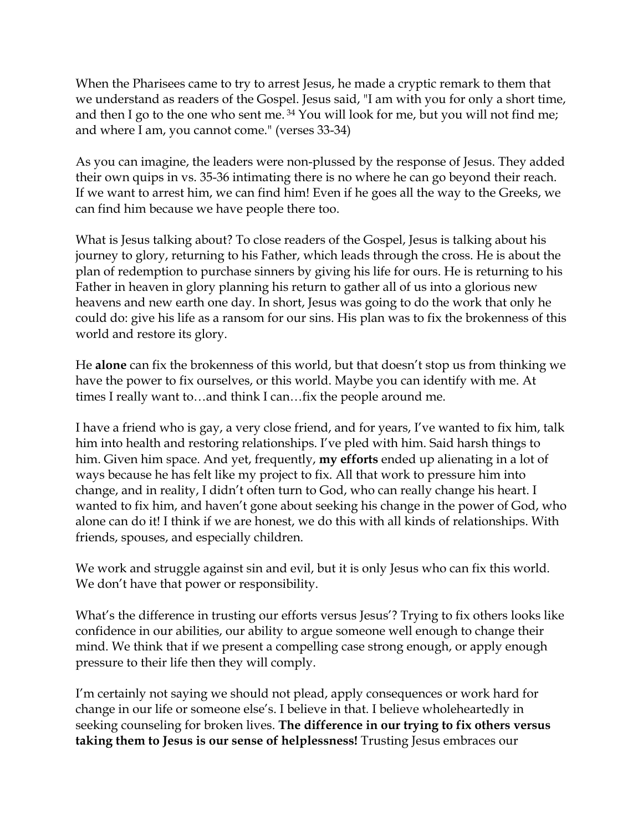When the Pharisees came to try to arrest Jesus, he made a cryptic remark to them that we understand as readers of the Gospel. Jesus said, "I am with you for only a short time, and then I go to the one who sent me.<sup>34</sup> You will look for me, but you will not find me; and where I am, you cannot come." (verses 33-34)

As you can imagine, the leaders were non-plussed by the response of Jesus. They added their own quips in vs. 35-36 intimating there is no where he can go beyond their reach. If we want to arrest him, we can find him! Even if he goes all the way to the Greeks, we can find him because we have people there too.

What is Jesus talking about? To close readers of the Gospel, Jesus is talking about his journey to glory, returning to his Father, which leads through the cross. He is about the plan of redemption to purchase sinners by giving his life for ours. He is returning to his Father in heaven in glory planning his return to gather all of us into a glorious new heavens and new earth one day. In short, Jesus was going to do the work that only he could do: give his life as a ransom for our sins. His plan was to fix the brokenness of this world and restore its glory.

He **alone** can fix the brokenness of this world, but that doesn't stop us from thinking we have the power to fix ourselves, or this world. Maybe you can identify with me. At times I really want to…and think I can…fix the people around me.

I have a friend who is gay, a very close friend, and for years, I've wanted to fix him, talk him into health and restoring relationships. I've pled with him. Said harsh things to him. Given him space. And yet, frequently, **my efforts** ended up alienating in a lot of ways because he has felt like my project to fix. All that work to pressure him into change, and in reality, I didn't often turn to God, who can really change his heart. I wanted to fix him, and haven't gone about seeking his change in the power of God, who alone can do it! I think if we are honest, we do this with all kinds of relationships. With friends, spouses, and especially children.

We work and struggle against sin and evil, but it is only Jesus who can fix this world. We don't have that power or responsibility.

What's the difference in trusting our efforts versus Jesus'? Trying to fix others looks like confidence in our abilities, our ability to argue someone well enough to change their mind. We think that if we present a compelling case strong enough, or apply enough pressure to their life then they will comply.

I'm certainly not saying we should not plead, apply consequences or work hard for change in our life or someone else's. I believe in that. I believe wholeheartedly in seeking counseling for broken lives. **The difference in our trying to fix others versus taking them to Jesus is our sense of helplessness!** Trusting Jesus embraces our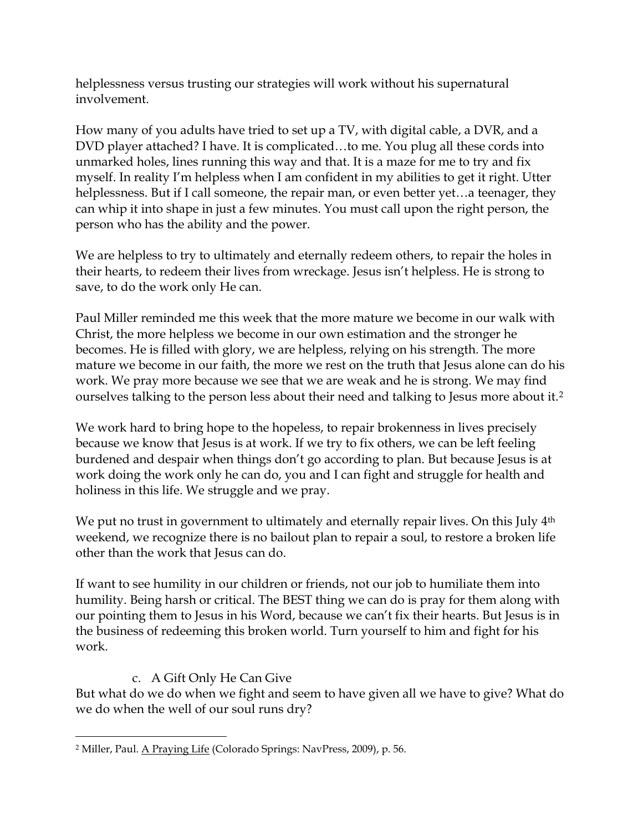helplessness versus trusting our strategies will work without his supernatural involvement.

How many of you adults have tried to set up a TV, with digital cable, a DVR, and a DVD player attached? I have. It is complicated…to me. You plug all these cords into unmarked holes, lines running this way and that. It is a maze for me to try and fix myself. In reality I'm helpless when I am confident in my abilities to get it right. Utter helplessness. But if I call someone, the repair man, or even better yet...a teenager, they can whip it into shape in just a few minutes. You must call upon the right person, the person who has the ability and the power.

We are helpless to try to ultimately and eternally redeem others, to repair the holes in their hearts, to redeem their lives from wreckage. Jesus isn't helpless. He is strong to save, to do the work only He can.

Paul Miller reminded me this week that the more mature we become in our walk with Christ, the more helpless we become in our own estimation and the stronger he becomes. He is filled with glory, we are helpless, relying on his strength. The more mature we become in our faith, the more we rest on the truth that Jesus alone can do his work. We pray more because we see that we are weak and he is strong. We may find ourselves talking to the person less about their need and talking to Jesus more about it.<sup>[2](#page-6-0)</sup>

We work hard to bring hope to the hopeless, to repair brokenness in lives precisely because we know that Jesus is at work. If we try to fix others, we can be left feeling burdened and despair when things don't go according to plan. But because Jesus is at work doing the work only he can do, you and I can fight and struggle for health and holiness in this life. We struggle and we pray.

We put no trust in government to ultimately and eternally repair lives. On this July 4<sup>th</sup> weekend, we recognize there is no bailout plan to repair a soul, to restore a broken life other than the work that Jesus can do.

If want to see humility in our children or friends, not our job to humiliate them into humility. Being harsh or critical. The BEST thing we can do is pray for them along with our pointing them to Jesus in his Word, because we can't fix their hearts. But Jesus is in the business of redeeming this broken world. Turn yourself to him and fight for his work.

#### c. A Gift Only He Can Give

But what do we do when we fight and seem to have given all we have to give? What do we do when the well of our soul runs dry?

<span id="page-6-0"></span> $\overline{a}$ 2 Miller, Paul. A Praying Life (Colorado Springs: NavPress, 2009), p. 56.